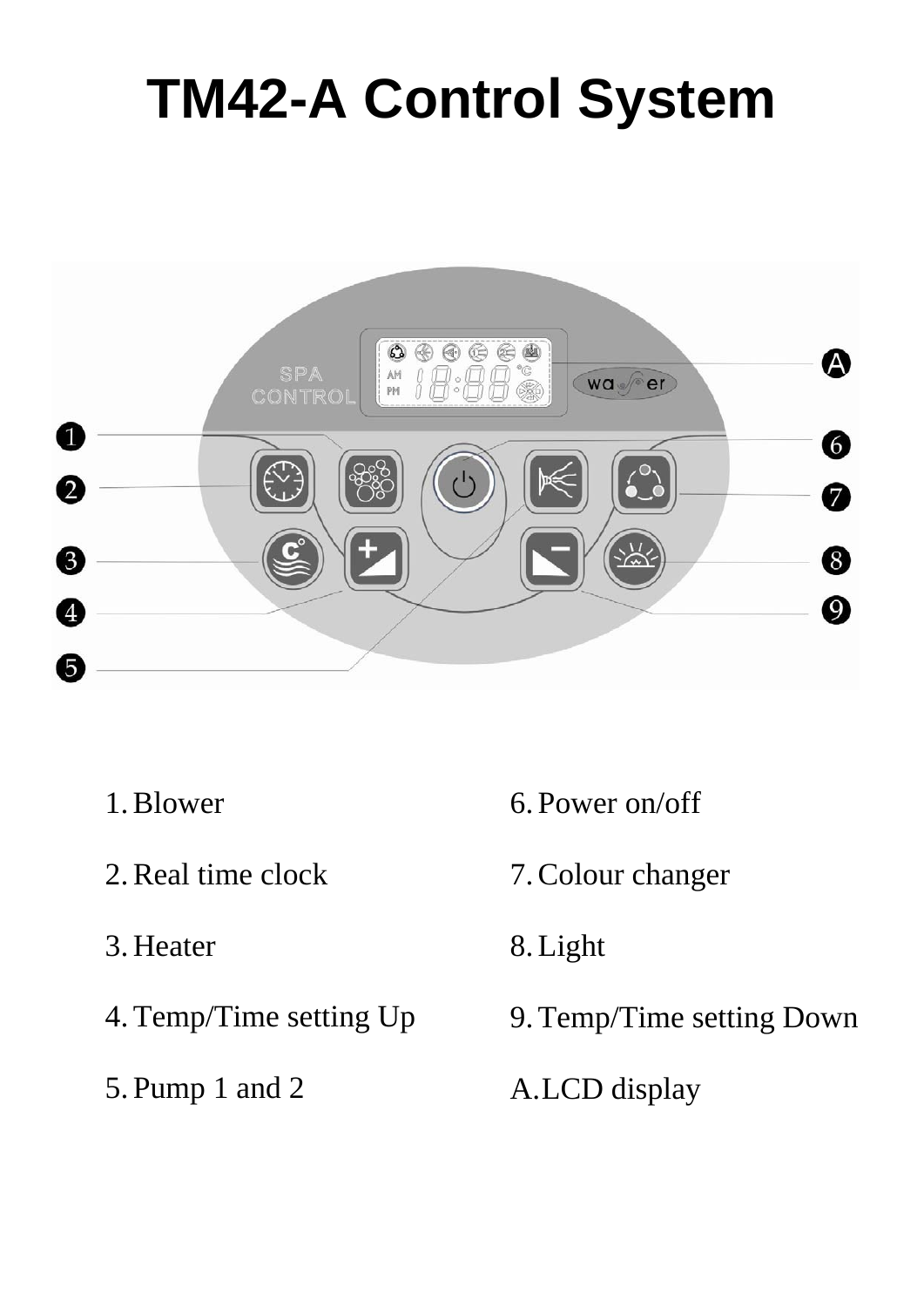# **TM42-A Control System**



- 1.Blower
- 2.Real time clock
- 3. Heater
- 4.Temp/Time setting Up
- 5. Pump 1 and 2
- 6. Power on/off
- 7.Colour changer
- 8.Light
- 9.Temp/Time setting Down
- A.LCD display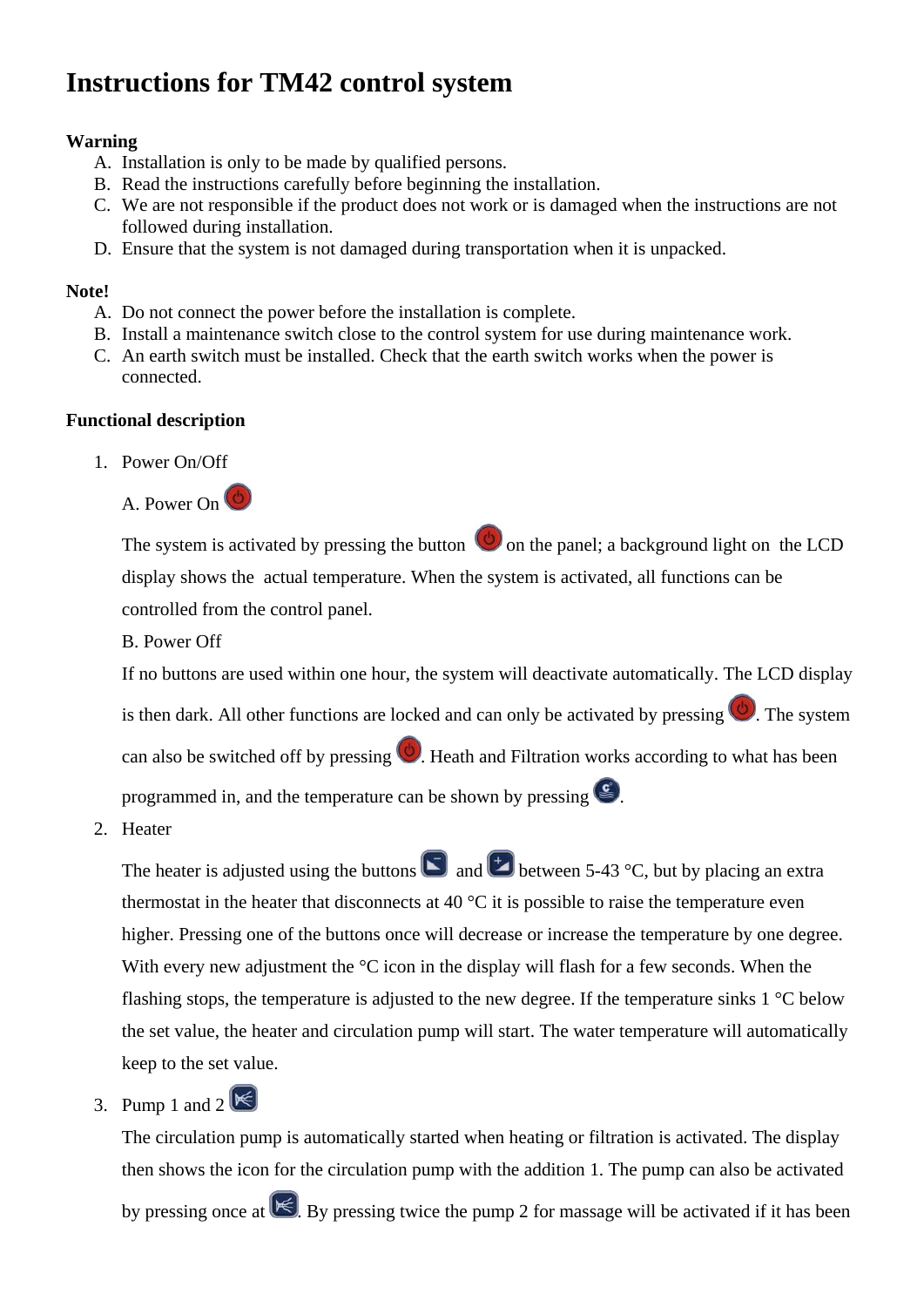## **Instructions for TM42 control system**

### **Warning**

- A. Installation is only to be made by qualified persons.
- B. Read the instructions carefully before beginning the installation.
- C. We are not responsible if the product does not work or is damaged when the instructions are not followed during installation.
- D. Ensure that the system is not damaged during transportation when it is unpacked.

#### **Note!**

- A. Do not connect the power before the installation is complete.
- B. Install a maintenance switch close to the control system for use during maintenance work.
- C. An earth switch must be installed. Check that the earth switch works when the power is connected.

#### **Functional description**

1. Power On/Off



The system is activated by pressing the button  $\bigcirc$  on the panel; a background light on the LCD display shows the actual temperature. When the system is activated, all functions can be controlled from the control panel.

B. Power Off

If no buttons are used within one hour, the system will deactivate automatically. The LCD display is then dark. All other functions are locked and can only be activated by pressing  $\bigcirc$ . The system can also be switched off by pressing  $\bigcirc$ . Heath and Filtration works according to what has been programmed in, and the temperature can be shown by pressing  $\mathcal{L}$ .

2. Heater

The heater is adjusted using the buttons  $\Box$  and  $\Box$  between 5-43 °C, but by placing an extra thermostat in the heater that disconnects at 40  $\degree$ C it is possible to raise the temperature even higher. Pressing one of the buttons once will decrease or increase the temperature by one degree. With every new adjustment the  $\mathrm{C}$  icon in the display will flash for a few seconds. When the flashing stops, the temperature is adjusted to the new degree. If the temperature sinks 1 °C below the set value, the heater and circulation pump will start. The water temperature will automatically keep to the set value.

3. Pump 1 and  $2 \times$ 

The circulation pump is automatically started when heating or filtration is activated. The display then shows the icon for the circulation pump with the addition 1. The pump can also be activated

by pressing once at  $\mathbb{K}$ . By pressing twice the pump 2 for massage will be activated if it has been